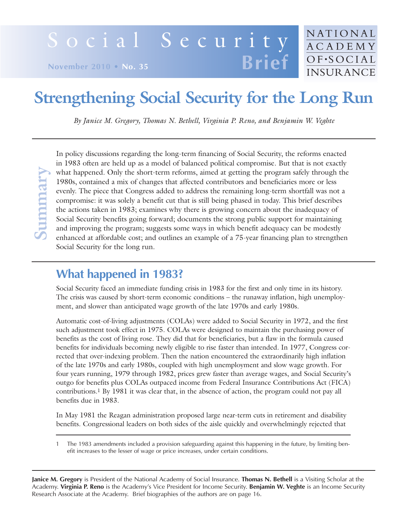# Social Security **Brief**

**November 2010 • No. 35**

# **Strengthening Social Security for the Long Run**

NATIONAL **ACADEMY** OF.SOCIAL

**INSURANCE** 

*By Janice M. Gregory, Thomas N. Bethell, Virginia P. Reno, and Benjamin W. Veghte*

In policy discussions regarding the long-term financing of Social Security, the reforms enacted in 1983 often are held up as a model of balanced political compromise. But that is not exactly what happened. Only the short-term reforms, aimed at getting the program safely through the 1980s, contained a mix of changes that affected contributors and beneficiaries more or less evenly. The piece that Congress added to address the remaining long-term shortfall was not a compromise: it was solely a benefit cut that is still being phased in today. This brief describes the actions taken in 1983; examines why there is growing concern about the inadequacy of Social Security benefits going forward; documents the strong public support for maintaining and improving the program; suggests some ways in which benefit adequacy can be modestly enhanced at affordable cost; and outlines an example of a 75-year financing plan to strengthen Social Security for the long run.

# **What happened in 1983?**

Social Security faced an immediate funding crisis in 1983 for the first and only time in its history. The crisis was caused by short-term economic conditions – the runaway inflation, high unemployment, and slower than anticipated wage growth of the late 1970s and early 1980s.

Automatic cost-of-living adjustments (COLAs) were added to Social Security in 1972, and the first such adjustment took effect in 1975. COLAs were designed to maintain the purchasing power of benefits as the cost of living rose. They did that for beneficiaries, but a flaw in the formula caused benefits for individuals becoming newly eligible to rise faster than intended. In 1977, Congress corrected that over-indexing problem. Then the nation encountered the extraordinarily high inflation of the late 1970s and early 1980s, coupled with high unemployment and slow wage growth. For four years running, 1979 through 1982, prices grew faster than average wages, and Social Security's outgo for benefits plus COLAs outpaced income from Federal Insurance Contributions Act (FICA) contributions.1 By 1981 it was clear that, in the absence of action, the program could not pay all benefits due in 1983. What happened. Only the short-term reforms, aimed at getting the<br>
1980s, contained a mix of changes that affected contributors and<br>
compromise: it was solely a benefit cut that is still being phased in<br>
the actions taken i

In May 1981 the Reagan administration proposed large near-term cuts in retirement and disability benefits. Congressional leaders on both sides of the aisle quickly and overwhelmingly rejected that

**Janice M. Gregory** is President of the National Academy of Social Insurance. **Thomas N. Bethell** is a Visiting Scholar at the Academy. **Virginia P. Reno** is the Academy's Vice President for Income Security. **Benjamin W. Veghte** is an Income Security

<sup>1</sup> The 1983 amendments included a provision safeguarding against this happening in the future, by limiting benefit increases to the lesser of wage or price increases, under certain conditions.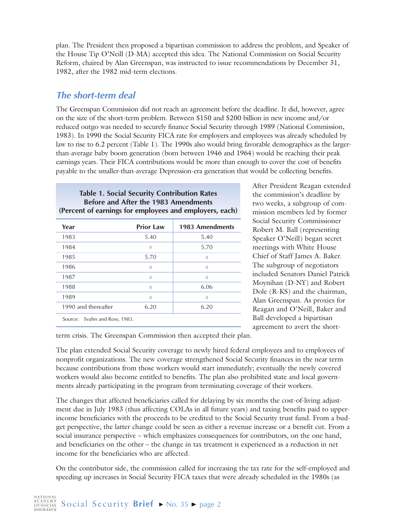plan. The President then proposed a bipartisan commission to address the problem, and Speaker of the House Tip O'Neill (D-MA) accepted this idea. The National Commission on Social Security Reform, chaired by Alan Greenspan, was instructed to issue recommendations by December 31, 1982, after the 1982 mid-term elections.

#### **The short-term deal**

The Greenspan Commission did not reach an agreement before the deadline. It did, however, agree on the size of the short-term problem. Between \$150 and \$200 billion in new income and/or reduced outgo was needed to securely finance Social Security through 1989 (National Commission, 1983). In 1990 the Social Security FICA rate for employers and employees was already scheduled by law to rise to 6.2 percent (Table 1). The 1990s also would bring favorable demographics as the largerthan-average baby boom generation (born between 1946 and 1964) would be reaching their peak earnings years. Their FICA contributions would be more than enough to cover the cost of benefits payable to the smaller-than-average Depression-era generation that would be collecting benefits.

#### **Table 1. Social Security Contribution Rates Before and After the 1983 Amendments (Percent of earnings for employees and employers, each)**

| Year                          | <b>Prior Law</b> | <b>1983 Amendments</b> |
|-------------------------------|------------------|------------------------|
| 1983                          | 5.40             | 5.40                   |
| 1984                          | П                | 5.70                   |
| 1985                          | 5.70             | $\mathbf{H}$           |
| 1986                          | $\mathbf{I}$     | $\mathbf{H}$           |
| 1987                          | $\mathbf{I}$     | $\mathbb{I}$           |
| 1988                          | П                | 6.06                   |
| 1989                          | $\mathbf{I}$     | $\mathbf{H}$           |
| 1990 and thereafter           | 6.20             | 6.20                   |
| Source: Svahn and Ross, 1983. |                  |                        |

After President Reagan extended the commission's deadline by two weeks, a subgroup of commission members led by former Social Security Commissioner Robert M. Ball (representing Speaker O'Neill) began secret meetings with White House Chief of Staff James A. Baker. The subgroup of negotiators included Senators Daniel Patrick Moynihan (D-NY) and Robert Dole (R-KS) and the chairman, Alan Greenspan. As proxies for Reagan and O'Neill, Baker and Ball developed a bipartisan agreement to avert the short-

term crisis. The Greenspan Commission then accepted their plan.

The plan extended Social Security coverage to newly hired federal employees and to employees of nonprofit organizations. The new coverage strengthened Social Security finances in the near term because contributions from those workers would start immediately; eventually the newly covered workers would also become entitled to benefits. The plan also prohibited state and local governments already participating in the program from terminating coverage of their workers.

The changes that affected beneficiaries called for delaying by six months the cost-of-living adjustment due in July 1983 (thus affecting COLAs in all future years) and taxing benefits paid to upperincome beneficiaries with the proceeds to be credited to the Social Security trust fund. From a budget perspective, the latter change could be seen as either a revenue increase or a benefit cut. From a social insurance perspective – which emphasizes consequences for contributors, on the one hand, and beneficiaries on the other – the change in tax treatment is experienced as a reduction in net income for the beneficiaries who are affected.

On the contributor side, the commission called for increasing the tax rate for the self-employed and speeding up increases in Social Security FICA taxes that were already scheduled in the 1980s (as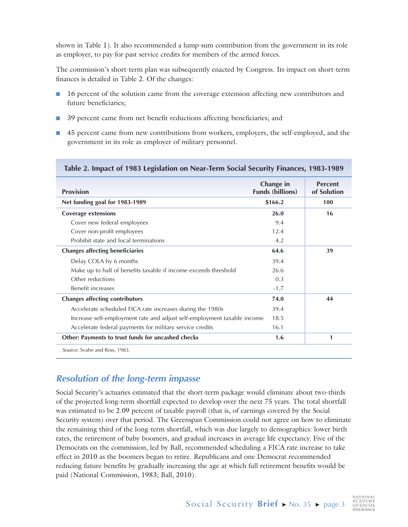shown in Table 1). It also recommended a lump-sum contribution from the government in its role as employer, to pay for past service credits for members of the armed forces.

The commission's short-term plan was subsequently enacted by Congress. Its impact on short-term finances is detailed in Table 2. Of the changes:

- 16 percent of the solution came from the coverage extension affecting new contributors and future beneficiaries;
- 39 percent came from net benefit reductions affecting beneficiaries; and
- 45 percent came from new contributions from workers, employers, the self-employed, and the government in its role as employer of military personnel.

| <b>Provision</b>                                                        | Change in<br><b>Funds (billions)</b> | <b>Percent</b><br>of Solution |  |
|-------------------------------------------------------------------------|--------------------------------------|-------------------------------|--|
| Net funding goal for 1983-1989                                          | \$166.2                              | 100                           |  |
| <b>Coverage extensions</b>                                              | 26.0                                 | 16                            |  |
| Cover new federal employees                                             | 9.4                                  |                               |  |
| Cover non-profit employees                                              | 12.4                                 |                               |  |
| Prohibit state and local terminations                                   | 4.2                                  |                               |  |
| <b>Changes affecting beneficiaries</b>                                  | 64.6                                 | 39                            |  |
| Delay COLA by 6 months                                                  | 39.4                                 |                               |  |
| Make up to half of benefits taxable if income exceeds threshold         | 26.6                                 |                               |  |
| Other reductions                                                        | 0.3                                  |                               |  |
| <b>Benefit increases</b>                                                | $-1.7$                               |                               |  |
| <b>Changes affecting contributors</b>                                   | 74.0                                 | 44                            |  |
| Accelerate scheduled FICA rate increases during the 1980s               | 39.4                                 |                               |  |
| Increase self-employment rate and adjust self-employment taxable income | 18.5                                 |                               |  |
| Accelerate federal payments for military service credits                | 16.1                                 |                               |  |
| Other: Payments to trust funds for uncashed checks                      | 1.6                                  | 1                             |  |
| Source: Svahn and Ross, 1983.                                           |                                      |                               |  |

#### **Table 2. Impact of 1983 Legislation on Near-Term Social Security Finances, 1983-1989**

#### **Resolution of the long-term impasse**

Social Security's actuaries estimated that the short-term package would eliminate about two-thirds of the projected long-term shortfall expected to develop over the next 75 years. The total shortfall was estimated to be 2.09 percent of taxable payroll (that is, of earnings covered by the Social Security system) over that period. The Greenspan Commission could not agree on how to eliminate the remaining third of the long-term shortfall, which was due largely to demographics: lower birth rates, the retirement of baby boomers, and gradual increases in average life expectancy. Five of the Democrats on the commission, led by Ball, recommended scheduling a FICA rate increase to take effect in 2010 as the boomers began to retire. Republicans and one Democrat recommended reducing future benefits by gradually increasing the age at which full retirement benefits would be paid (National Commission, 1983; Ball, 2010).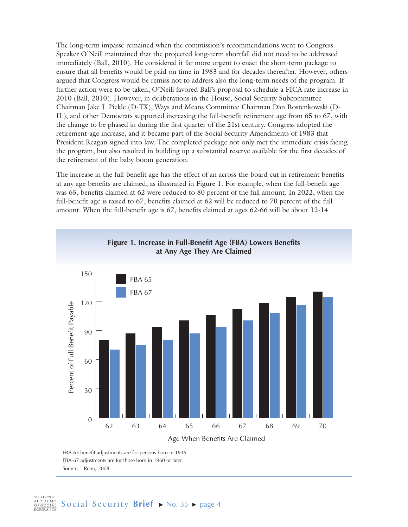The long-term impasse remained when the commission's recommendations went to Congress. Speaker O'Neill maintained that the projected long-term shortfall did not need to be addressed immediately (Ball, 2010). He considered it far more urgent to enact the short-term package to ensure that all benefits would be paid on time in 1983 and for decades thereafter. However, others argued that Congress would be remiss not to address also the long-term needs of the program. If further action were to be taken, O'Neill favored Ball's proposal to schedule a FICA rate increase in 2010 (Ball, 2010). However, in deliberations in the House, Social Security Subcommittee Chairman Jake J. Pickle (D-TX), Ways and Means Committee Chairman Dan Rostenkowski (D-IL), and other Democrats supported increasing the full-benefit retirement age from 65 to 67, with the change to be phased in during the first quarter of the 21st century. Congress adopted the retirement-age increase, and it became part of the Social Security Amendments of 1983 that President Reagan signed into law. The completed package not only met the immediate crisis facing the program, but also resulted in building up a substantial reserve available for the first decades of the retirement of the baby boom generation.

The increase in the full-benefit age has the effect of an across-the-board cut in retirement benefits at any age benefits are claimed, as illustrated in Figure 1. For example, when the full-benefit age was 65, benefits claimed at 62 were reduced to 80 percent of the full amount. In 2022, when the full-benefit age is raised to 67, benefits claimed at 62 will be reduced to 70 percent of the full amount. When the full-benefit age is 67, benefits claimed at ages 62-66 will be about 12-14



FBA-65 benefit adjustments are for persons born in 1936. FBA-67 adjustments are for those born in 1960 or later. Source: Reno, 2008.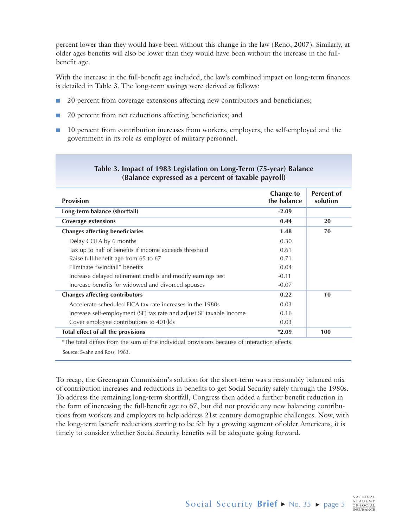percent lower than they would have been without this change in the law (Reno, 2007). Similarly, at older ages benefits will also be lower than they would have been without the increase in the fullbenefit age.

With the increase in the full-benefit age included, the law's combined impact on long-term finances is detailed in Table 3. The long-term savings were derived as follows:

- 20 percent from coverage extensions affecting new contributors and beneficiaries;
- 70 percent from net reductions affecting beneficiaries; and
- 10 percent from contribution increases from workers, employers, the self-employed and the government in its role as employer of military personnel.

| <b>Provision</b>                                                    | <b>Change to</b><br>the balance | <b>Percent of</b><br>solution |
|---------------------------------------------------------------------|---------------------------------|-------------------------------|
| Long-term balance (shortfall)                                       | $-2.09$                         |                               |
| <b>Coverage extensions</b>                                          | 0.44                            | 20                            |
| <b>Changes affecting beneficiaries</b>                              | 1.48                            | 70                            |
| Delay COLA by 6 months                                              | 0.30                            |                               |
| Tax up to half of benefits if income exceeds threshold              | 0.61                            |                               |
| Raise full-benefit age from 65 to 67                                | 0.71                            |                               |
| Fliminate "windfall" benefits                                       | 0.04                            |                               |
| Increase delayed retirement credits and modify earnings test        | $-0.11$                         |                               |
| Increase benefits for widowed and divorced spouses                  | $-0.07$                         |                               |
| <b>Changes affecting contributors</b>                               | 0.22                            | 10                            |
| Accelerate scheduled FICA tax rate increases in the 1980s           | 0.03                            |                               |
| Increase self-employment (SE) tax rate and adjust SE taxable income | 0.16                            |                               |
| Cover employee contributions to 401(k)s                             | 0.03                            |                               |
| Total effect of all the provisions                                  | $*2.09$                         | 100                           |

#### **Table 3. Impact of 1983 Legislation on Long-Term (75-year) Balance (Balance expressed as a percent of taxable payroll)**

\*The total differs from the sum of the individual provisions because of interaction effects.

Source: Svahn and Ross, 1983.

To recap, the Greenspan Commission's solution for the short-term was a reasonably balanced mix of contribution increases and reductions in benefits to get Social Security safely through the 1980s. To address the remaining long-term shortfall, Congress then added a further benefit reduction in the form of increasing the full-benefit age to 67, but did not provide any new balancing contributions from workers and employers to help address 21st century demographic challenges. Now, with the long-term benefit reductions starting to be felt by a growing segment of older Americans, it is timely to consider whether Social Security benefits will be adequate going forward.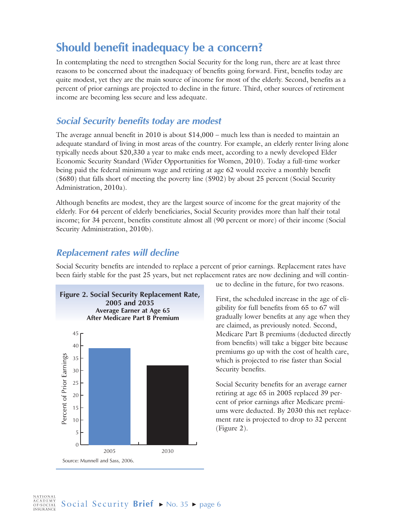# **Should benefit inadequacy be a concern?**

In contemplating the need to strengthen Social Security for the long run, there are at least three reasons to be concerned about the inadequacy of benefits going forward. First, benefits today are quite modest, yet they are the main source of income for most of the elderly. Second, benefits as a percent of prior earnings are projected to decline in the future. Third, other sources of retirement income are becoming less secure and less adequate.

#### **Social Security benefits today are modest**

The average annual benefit in 2010 is about \$14,000 – much less than is needed to maintain an adequate standard of living in most areas of the country. For example, an elderly renter living alone typically needs about \$20,330 a year to make ends meet, according to a newly developed Elder Economic Security Standard (Wider Opportunities for Women, 2010). Today a full-time worker being paid the federal minimum wage and retiring at age 62 would receive a monthly benefit (\$680) that falls short of meeting the poverty line (\$902) by about 25 percent (Social Security Administration, 2010a).

Although benefits are modest, they are the largest source of income for the great majority of the elderly. For 64 percent of elderly beneficiaries, Social Security provides more than half their total income; for 34 percent, benefits constitute almost all (90 percent or more) of their income (Social Security Administration, 2010b).

#### **Replacement rates will decline**

Social Security benefits are intended to replace a percent of prior earnings. Replacement rates have been fairly stable for the past 25 years, but net replacement rates are now declining and will contin-



ue to decline in the future, for two reasons.

First, the scheduled increase in the age of eligibility for full benefits from 65 to 67 will gradually lower benefits at any age when they are claimed, as previously noted. Second, Medicare Part B premiums (deducted directly from benefits) will take a bigger bite because premiums go up with the cost of health care, which is projected to rise faster than Social Security benefits.

Social Security benefits for an average earner retiring at age 65 in 2005 replaced 39 percent of prior earnings after Medicare premiums were deducted. By 2030 this net replacement rate is projected to drop to 32 percent (Figure 2).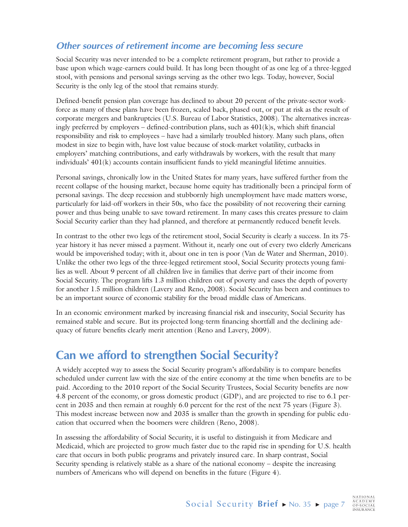## **Other sources of retirement income are becoming less secure**

Social Security was never intended to be a complete retirement program, but rather to provide a base upon which wage-earners could build. It has long been thought of as one leg of a three-legged stool, with pensions and personal savings serving as the other two legs. Today, however, Social Security is the only leg of the stool that remains sturdy.

Defined-benefit pension plan coverage has declined to about 20 percent of the private-sector workforce as many of these plans have been frozen, scaled back, phased out, or put at risk as the result of corporate mergers and bankruptcies (U.S. Bureau of Labor Statistics, 2008). The alternatives increasingly preferred by employers – defined-contribution plans, such as  $401(k)s$ , which shift financial responsibility and risk to employees – have had a similarly troubled history. Many such plans, often modest in size to begin with, have lost value because of stock-market volatility, cutbacks in employers' matching contributions, and early withdrawals by workers, with the result that many individuals' 401(k) accounts contain insufficient funds to yield meaningful lifetime annuities.

Personal savings, chronically low in the United States for many years, have suffered further from the recent collapse of the housing market, because home equity has traditionally been a principal form of personal savings. The deep recession and stubbornly high unemployment have made matters worse, particularly for laid-off workers in their 50s, who face the possibility of not recovering their earning power and thus being unable to save toward retirement. In many cases this creates pressure to claim Social Security earlier than they had planned, and therefore at permanently reduced benefit levels.

In contrast to the other two legs of the retirement stool, Social Security is clearly a success. In its 75 year history it has never missed a payment. Without it, nearly one out of every two elderly Americans would be impoverished today; with it, about one in ten is poor (Van de Water and Sherman, 2010). Unlike the other two legs of the three-legged retirement stool, Social Security protects young families as well. About 9 percent of all children live in families that derive part of their income from Social Security. The program lifts 1.3 million children out of poverty and eases the depth of poverty for another 1.5 million children (Lavery and Reno, 2008). Social Security has been and continues to be an important source of economic stability for the broad middle class of Americans.

In an economic environment marked by increasing financial risk and insecurity, Social Security has remained stable and secure. But its projected long-term financing shortfall and the declining adequacy of future benefits clearly merit attention (Reno and Lavery, 2009).

# **Can we afford to strengthen Social Security?**

A widely accepted way to assess the Social Security program's affordability is to compare benefits scheduled under current law with the size of the entire economy at the time when benefits are to be paid. According to the 2010 report of the Social Security Trustees, Social Security benefits are now 4.8 percent of the economy, or gross domestic product (GDP), and are projected to rise to 6.1 percent in 2035 and then remain at roughly 6.0 percent for the rest of the next 75 years (Figure 3). This modest increase between now and 2035 is smaller than the growth in spending for public education that occurred when the boomers were children (Reno, 2008).

In assessing the affordability of Social Security, it is useful to distinguish it from Medicare and Medicaid, which are projected to grow much faster due to the rapid rise in spending for U.S. health care that occurs in both public programs and privately insured care. In sharp contrast, Social Security spending is relatively stable as a share of the national economy – despite the increasing numbers of Americans who will depend on benefits in the future (Figure 4).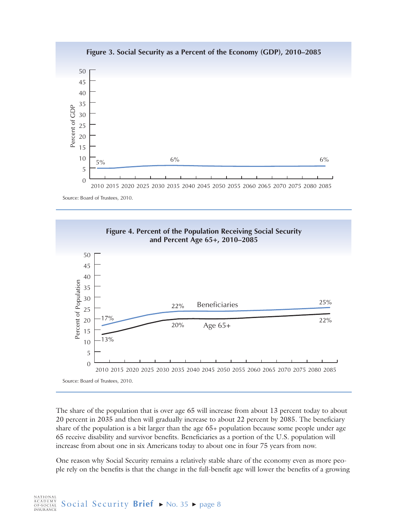

Source: Board of Trustees, 2010.



The share of the population that is over age 65 will increase from about 13 percent today to about 20 percent in 2035 and then will gradually increase to about 22 percent by 2085. The beneficiary share of the population is a bit larger than the age 65+ population because some people under age 65 receive disability and survivor benefits. Beneficiaries as a portion of the U.S. population will increase from about one in six Americans today to about one in four 75 years from now.

One reason why Social Security remains a relatively stable share of the economy even as more people rely on the benefits is that the change in the full-benefit age will lower the benefits of a growing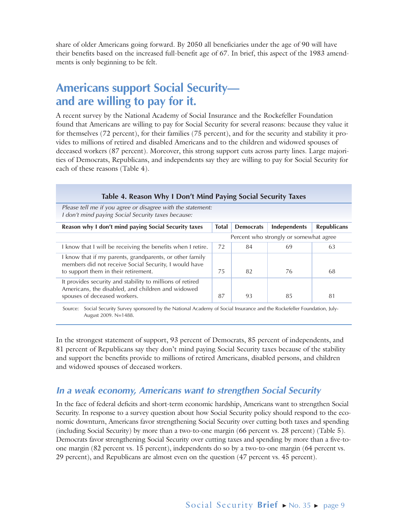share of older Americans going forward. By 2050 all beneficiaries under the age of 90 will have their benefits based on the increased full-benefit age of 67. In brief, this aspect of the 1983 amendments is only beginning to be felt.

# **Americans support Social Security and are willing to pay for it.**

A recent survey by the National Academy of Social Insurance and the Rockefeller Foundation found that Americans are willing to pay for Social Security for several reasons: because they value it for themselves (72 percent), for their families (75 percent), and for the security and stability it provides to millions of retired and disabled Americans and to the children and widowed spouses of deceased workers (87 percent). Moreover, this strong support cuts across party lines. Large majorities of Democrats, Republicans, and independents say they are willing to pay for Social Security for each of these reasons (Table 4).

| Table 4. Reason Why I Don't Mind Paying Social Security Taxes |                                                             |              |                    |
|---------------------------------------------------------------|-------------------------------------------------------------|--------------|--------------------|
|                                                               |                                                             |              |                    |
| <b>Total</b>                                                  | <b>Democrats</b>                                            | Independents | <b>Republicans</b> |
| Percent who strongly or somewhat agree                        |                                                             |              |                    |
| 72                                                            | 84                                                          | 69           | 63                 |
| 75                                                            | 82                                                          | 76           | 68                 |
| 87                                                            | 93                                                          | 85           | 81                 |
|                                                               | Please tell me if you agree or disagree with the statement: |              |                    |

Source: Social Security Survey sponsored by the National Academy of Social Insurance and the Rockefeller Foundation, July-August 2009. N=1488.

In the strongest statement of support, 93 percent of Democrats, 85 percent of independents, and 81 percent of Republicans say they don't mind paying Social Security taxes because of the stability and support the benefits provide to millions of retired Americans, disabled persons, and children and widowed spouses of deceased workers.

## **In a weak economy, Americans want to strengthen Social Security**

In the face of federal deficits and short-term economic hardship, Americans want to strengthen Social Security. In response to a survey question about how Social Security policy should respond to the economic downturn, Americans favor strengthening Social Security over cutting both taxes and spending (including Social Security) by more than a two-to-one margin (66 percent vs. 28 percent) (Table 5). Democrats favor strengthening Social Security over cutting taxes and spending by more than a five-toone margin (82 percent vs. 15 percent), independents do so by a two-to-one margin (64 percent vs. 29 percent), and Republicans are almost even on the question (47 percent vs. 45 percent).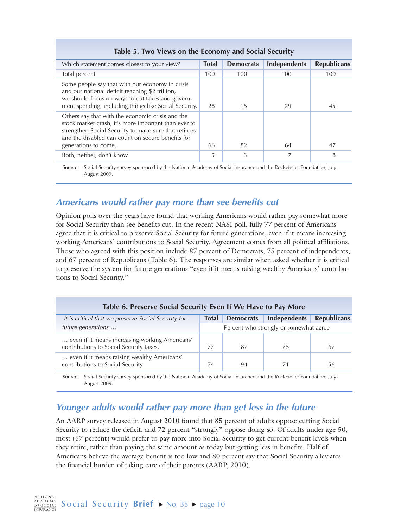| Which statement comes closest to your view?                                                                                                                                                                                                    | <b>Total</b> | <b>Democrats</b> | Independents | <b>Republicans</b> |
|------------------------------------------------------------------------------------------------------------------------------------------------------------------------------------------------------------------------------------------------|--------------|------------------|--------------|--------------------|
| Total percent                                                                                                                                                                                                                                  | 100          | 100              | 100          | 100                |
| Some people say that with our economy in crisis<br>and our national deficit reaching \$2 trillion,<br>we should focus on ways to cut taxes and govern-<br>ment spending, including things like Social Security.                                | 28           | 15               | 29           | 45                 |
| Others say that with the economic crisis and the<br>stock market crash, it's more important than ever to<br>strengthen Social Security to make sure that retirees<br>and the disabled can count on secure benefits for<br>generations to come. | 66           | 82               | 64           | 47                 |
| Both, neither, don't know                                                                                                                                                                                                                      | 5            | 3                |              | 8                  |

#### **Table 5. Two Views on the Economy and Social Security**

Source: Social Security survey sponsored by the National Academy of Social Insurance and the Rockefeller Foundation, July-August 2009.

#### **Americans would rather pay more than see benefits cut**

Opinion polls over the years have found that working Americans would rather pay somewhat more for Social Security than see benefits cut. In the recent NASI poll, fully 77 percent of Americans agree that it is critical to preserve Social Security for future generations, even if it means increasing working Americans' contributions to Social Security. Agreement comes from all political affiliations. Those who agreed with this position include 87 percent of Democrats, 75 percent of independents, and 67 percent of Republicans (Table 6). The responses are similar when asked whether it is critical to preserve the system for future generations "even if it means raising wealthy Americans' contributions to Social Security."

#### **Table 6. Preserve Social Security Even If We Have to Pay More**

| It is critical that we preserve Social Security for                                       | <b>Total</b> | <b>Democrats</b> | Independents                           | Republicans |
|-------------------------------------------------------------------------------------------|--------------|------------------|----------------------------------------|-------------|
| future generations                                                                        |              |                  | Percent who strongly or somewhat agree |             |
| even if it means increasing working Americans'<br>contributions to Social Security taxes. |              | 87               | 75                                     | 67          |
| even if it means raising wealthy Americans'<br>contributions to Social Security.          | 74           | 94               |                                        | 56          |

Source: Social Security survey sponsored by the National Academy of Social Insurance and the Rockefeller Foundation, July-August 2009.

## **Younger adults would rather pay more than get less in the future**

An AARP survey released in August 2010 found that 85 percent of adults oppose cutting Social Security to reduce the deficit, and 72 percent "strongly" oppose doing so. Of adults under age 50, most (57 percent) would prefer to pay more into Social Security to get current benefit levels when they retire, rather than paying the same amount as today but getting less in benefits. Half of Americans believe the average benefit is too low and 80 percent say that Social Security alleviates the financial burden of taking care of their parents (AARP, 2010).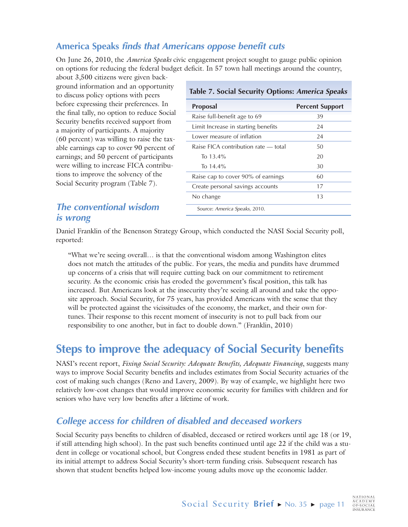## **America Speaks finds that Americans oppose benefit cuts**

On June 26, 2010, the *America Speaks* civic engagement project sought to gauge public opinion on options for reducing the federal budget deficit. In 57 town hall meetings around the country,

about 3,500 citizens were given background information and an opportunity to discuss policy options with peers before expressing their preferences. In the final tally, no option to reduce Social Security benefits received support from a majority of participants. A majority (60 percent) was willing to raise the taxable earnings cap to cover 90 percent of earnings; and 50 percent of participants were willing to increase FICA contributions to improve the solvency of the Social Security program (Table 7).

#### **Table 7. Social Security Options: America Speaks**

| Proposal                             | <b>Percent Support</b> |
|--------------------------------------|------------------------|
| Raise full-benefit age to 69         | 39                     |
| Limit Increase in starting benefits  | 24                     |
| Lower measure of inflation           | 24                     |
| Raise FICA contribution rate — total | 50                     |
| To 13.4%                             | 20                     |
| To $14.4\%$                          | 30                     |
| Raise cap to cover 90% of earnings   | 60                     |
| Create personal savings accounts     | 17                     |
| No change                            | 13                     |
| Source: America Speaks, 2010.        |                        |

#### **The conventional wisdom is wrong**

Daniel Franklin of the Benenson Strategy Group, which conducted the NASI Social Security poll, reported:

"What we're seeing overall… is that the conventional wisdom among Washington elites does not match the attitudes of the public. For years, the media and pundits have drummed up concerns of a crisis that will require cutting back on our commitment to retirement security. As the economic crisis has eroded the government's fiscal position, this talk has increased. But Americans look at the insecurity they're seeing all around and take the opposite approach. Social Security, for 75 years, has provided Americans with the sense that they will be protected against the vicissitudes of the economy, the market, and their own fortunes. Their response to this recent moment of insecurity is not to pull back from our responsibility to one another, but in fact to double down." (Franklin, 2010)

# **Steps to improve the adequacy of Social Security benefits**

NASI's recent report, *Fixing Social Security: Adequate Benefits, Adequate Financing*, suggests many ways to improve Social Security benefits and includes estimates from Social Security actuaries of the cost of making such changes (Reno and Lavery, 2009). By way of example, we highlight here two relatively low-cost changes that would improve economic security for families with children and for seniors who have very low benefits after a lifetime of work.

## **College access for children of disabled and deceased workers**

Social Security pays benefits to children of disabled, deceased or retired workers until age 18 (or 19, if still attending high school). In the past such benefits continued until age 22 if the child was a student in college or vocational school, but Congress ended these student benefits in 1981 as part of its initial attempt to address Social Security's short-term funding crisis. Subsequent research has shown that student benefits helped low-income young adults move up the economic ladder.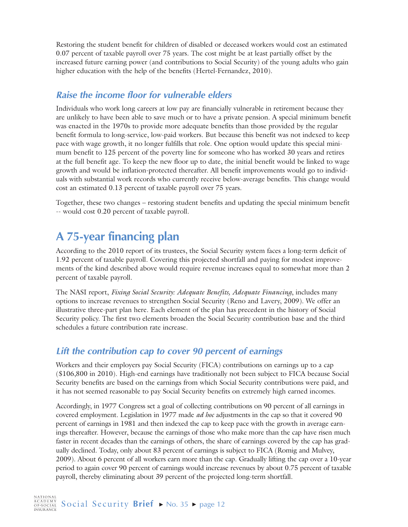Restoring the student benefit for children of disabled or deceased workers would cost an estimated 0.07 percent of taxable payroll over 75 years. The cost might be at least partially offset by the increased future earning power (and contributions to Social Security) of the young adults who gain higher education with the help of the benefits (Hertel-Fernandez, 2010).

## **Raise the income floor for vulnerable elders**

Individuals who work long careers at low pay are financially vulnerable in retirement because they are unlikely to have been able to save much or to have a private pension. A special minimum benefit was enacted in the 1970s to provide more adequate benefits than those provided by the regular benefit formula to long-service, low-paid workers. But because this benefit was not indexed to keep pace with wage growth, it no longer fulfills that role. One option would update this special minimum benefit to 125 percent of the poverty line for someone who has worked 30 years and retires at the full benefit age. To keep the new floor up to date, the initial benefit would be linked to wage growth and would be inflation-protected thereafter. All benefit improvements would go to individuals with substantial work records who currently receive below-average benefits. This change would cost an estimated 0.13 percent of taxable payroll over 75 years.

Together, these two changes – restoring student benefits and updating the special minimum benefit -- would cost 0.20 percent of taxable payroll.

# **A 75-year financing plan**

According to the 2010 report of its trustees, the Social Security system faces a long-term deficit of 1.92 percent of taxable payroll. Covering this projected shortfall and paying for modest improvements of the kind described above would require revenue increases equal to somewhat more than 2 percent of taxable payroll.

The NASI report, *Fixing Social Security: Adequate Benefits, Adequate Financing*, includes many options to increase revenues to strengthen Social Security (Reno and Lavery, 2009). We offer an illustrative three-part plan here. Each element of the plan has precedent in the history of Social Security policy. The first two elements broaden the Social Security contribution base and the third schedules a future contribution rate increase.

## **Lift the contribution cap to cover 90 percent of earnings**

Workers and their employers pay Social Security (FICA) contributions on earnings up to a cap (\$106,800 in 2010). High-end earnings have traditionally not been subject to FICA because Social Security benefits are based on the earnings from which Social Security contributions were paid, and it has not seemed reasonable to pay Social Security benefits on extremely high earned incomes.

Accordingly, in 1977 Congress set a goal of collecting contributions on 90 percent of all earnings in covered employment. Legislation in 1977 made *ad hoc* adjustments in the cap so that it covered 90 percent of earnings in 1981 and then indexed the cap to keep pace with the growth in average earnings thereafter. However, because the earnings of those who make more than the cap have risen much faster in recent decades than the earnings of others, the share of earnings covered by the cap has gradually declined. Today, only about 83 percent of earnings is subject to FICA (Romig and Mulvey, 2009). About 6 percent of all workers earn more than the cap. Gradually lifting the cap over a 10-year period to again cover 90 percent of earnings would increase revenues by about 0.75 percent of taxable payroll, thereby eliminating about 39 percent of the projected long-term shortfall.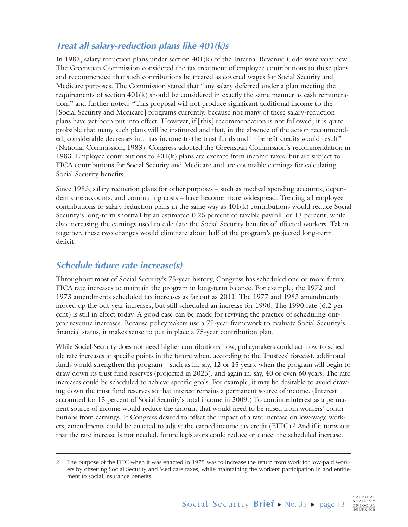## **Treat all salary-reduction plans like 401(k)s**

In 1983, salary reduction plans under section 401(k) of the Internal Revenue Code were very new. The Greenspan Commission considered the tax treatment of employee contributions to these plans and recommended that such contributions be treated as covered wages for Social Security and Medicare purposes. The Commission stated that "any salary deferred under a plan meeting the requirements of section 401(k) should be considered in exactly the same manner as cash remuneration," and further noted: "This proposal will not produce significant additional income to the [Social Security and Medicare] programs currently, because not many of these salary-reduction plans have yet been put into effect. However, if [this] recommendation is not followed, it is quite probable that many such plans will be instituted and that, in the absence of the action recommended, considerable decreases in… tax income to the trust funds and in benefit credits would result" (National Commission, 1983). Congress adopted the Greenspan Commission's recommendation in 1983. Employee contributions to  $401(k)$  plans are exempt from income taxes, but are subject to FICA contributions for Social Security and Medicare and are countable earnings for calculating Social Security benefits.

Since 1983, salary reduction plans for other purposes – such as medical spending accounts, dependent care accounts, and commuting costs – have become more widespread. Treating all employee contributions to salary reduction plans in the same way as  $401(k)$  contributions would reduce Social Security's long-term shortfall by an estimated 0.25 percent of taxable payroll, or 13 percent, while also increasing the earnings used to calculate the Social Security benefits of affected workers. Taken together, these two changes would eliminate about half of the program's projected long-term deficit.

#### **Schedule future rate increase(s)**

Throughout most of Social Security's 75-year history, Congress has scheduled one or more future FICA rate increases to maintain the program in long-term balance. For example, the 1972 and 1973 amendments scheduled tax increases as far out as 2011. The 1977 and 1983 amendments moved up the out-year increases, but still scheduled an increase for 1990. The 1990 rate (6.2 percent) is still in effect today. A good case can be made for reviving the practice of scheduling outyear revenue increases. Because policymakers use a 75-year framework to evaluate Social Security's financial status, it makes sense to put in place a 75-year contribution plan.

While Social Security does not need higher contributions now, policymakers could act now to schedule rate increases at specific points in the future when, according to the Trustees' forecast, additional funds would strengthen the program – such as in, say, 12 or 15 years, when the program will begin to draw down its trust fund reserves (projected in 2025), and again in, say, 40 or even 60 years. The rate increases could be scheduled to achieve specific goals. For example, it may be desirable to avoid drawing down the trust fund reserves so that interest remains a permanent source of income. (Interest accounted for 15 percent of Social Security's total income in 2009.) To continue interest as a permanent source of income would reduce the amount that would need to be raised from workers' contributions from earnings. If Congress desired to offset the impact of a rate increase on low-wage workers, amendments could be enacted to adjust the earned income tax credit (EITC).2 And if it turns out that the rate increase is not needed, future legislators could reduce or cancel the scheduled increase.

<sup>2</sup> The purpose of the EITC when it was enacted in 1975 was to increase the return from work for low-paid workers by offsetting Social Security and Medicare taxes, while maintaining the workers' participation in and entitlement to social insurance benefits.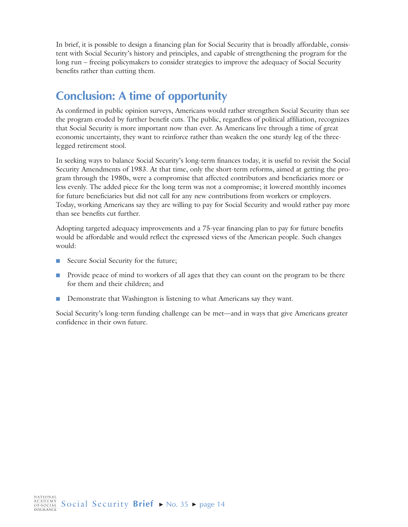In brief, it is possible to design a financing plan for Social Security that is broadly affordable, consistent with Social Security's history and principles, and capable of strengthening the program for the long run – freeing policymakers to consider strategies to improve the adequacy of Social Security benefits rather than cutting them.

# **Conclusion: A time of opportunity**

As confirmed in public opinion surveys, Americans would rather strengthen Social Security than see the program eroded by further benefit cuts. The public, regardless of political affiliation, recognizes that Social Security is more important now than ever. As Americans live through a time of great economic uncertainty, they want to reinforce rather than weaken the one sturdy leg of the threelegged retirement stool.

In seeking ways to balance Social Security's long-term finances today, it is useful to revisit the Social Security Amendments of 1983. At that time, only the short-term reforms, aimed at getting the program through the 1980s, were a compromise that affected contributors and beneficiaries more or less evenly. The added piece for the long term was not a compromise; it lowered monthly incomes for future beneficiaries but did not call for any new contributions from workers or employers. Today, working Americans say they are willing to pay for Social Security and would rather pay more than see benefits cut further.

Adopting targeted adequacy improvements and a 75-year financing plan to pay for future benefits would be affordable and would reflect the expressed views of the American people. Such changes would:

- Secure Social Security for the future;
- Provide peace of mind to workers of all ages that they can count on the program to be there for them and their children; and
- Demonstrate that Washington is listening to what Americans say they want.

Social Security's long-term funding challenge can be met—and in ways that give Americans greater confidence in their own future.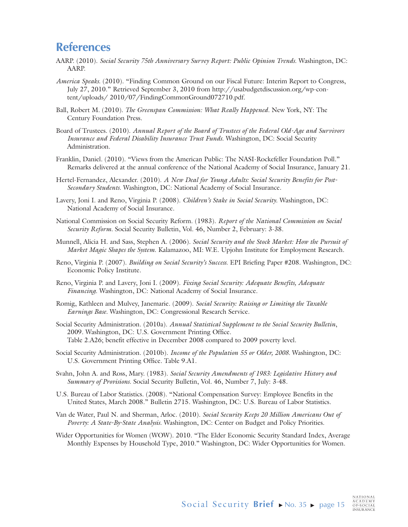## **References**

- AARP. (2010). *Social Security 75th Anniversary Survey Report: Public Opinion Trends*. Washington, DC: AARP.
- *America Speaks*. (2010). "Finding Common Ground on our Fiscal Future: Interim Report to Congress, July 27, 2010." Retrieved September 3, 2010 from http://usabudgetdiscussion.org/wp-content/uploads/ 2010/07/FindingCommonGround072710.pdf.
- Ball, Robert M. (2010). *The Greenspan Commission: What Really Happened*. New York, NY: The Century Foundation Press.
- Board of Trustees. (2010). *Annual Report of the Board of Trustees of the Federal Old-Age and Survivors Insurance and Federal Disability Insurance Trust Funds*. Washington, DC: Social Security Administration.
- Franklin, Daniel. (2010). "Views from the American Public: The NASI-Rockefeller Foundation Poll." Remarks delivered at the annual conference of the National Academy of Social Insurance, January 21.
- Hertel-Fernandez, Alexander. (2010). *A New Deal for Young Adults: Social Security Benefits for Post-Secondary Students*. Washington, DC: National Academy of Social Insurance.
- Lavery, Joni I. and Reno, Virginia P. (2008). *Children's Stake in Social Security*. Washington, DC: National Academy of Social Insurance.
- National Commission on Social Security Reform. (1983). *Report of the National Commission on Social Security Reform.* Social Security Bulletin, Vol. 46, Number 2, February: 3-38.
- Munnell, Alicia H. and Sass, Stephen A. (2006). *Social Security and the Stock Market: How the Pursuit of Market Magic Shapes the System*. Kalamazoo, MI: W.E. Upjohn Institute for Employment Research.
- Reno, Virginia P. (2007). *Building on Social Security's Success*. EPI Briefing Paper #208. Washington, DC: Economic Policy Institute.
- Reno, Virginia P. and Lavery, Joni I. (2009). *Fixing Social Security: Adequate Benefits, Adequate Financing*. Washington, DC: National Academy of Social Insurance.
- Romig, Kathleen and Mulvey, Janemarie. (2009). *Social Security: Raising or Limiting the Taxable Earnings Base.* Washington, DC: Congressional Research Service.
- Social Security Administration. (2010a). *Annual Statistical Supplement to the Social Security Bulletin*, 2009. Washington, DC: U.S. Government Printing Office. Table 2.A26; benefit effective in December 2008 compared to 2009 poverty level.
- Social Security Administration. (2010b). *Income of the Population 55 or Older, 2008.* Washington, DC: U.S. Government Printing Office. Table 9.A1.
- Svahn, John A. and Ross, Mary. (1983). *Social Security Amendments of 1983: Legislative History and Summary of Provisions*. Social Security Bulletin, Vol. 46, Number 7, July: 3-48.
- U.S. Bureau of Labor Statistics. (2008). "National Compensation Survey: Employee Benefits in the United States, March 2008." Bulletin 2715. Washington, DC: U.S. Bureau of Labor Statistics.
- Van de Water, Paul N. and Sherman, Arloc. (2010). *Social Security Keeps 20 Million Americans Out of Poverty: A State-By-State Analysis*. Washington, DC: Center on Budget and Policy Priorities.
- Wider Opportunities for Women (WOW). 2010. "The Elder Economic Security Standard Index, Average Monthly Expenses by Household Type, 2010." Washington, DC: Wider Opportunities for Women.